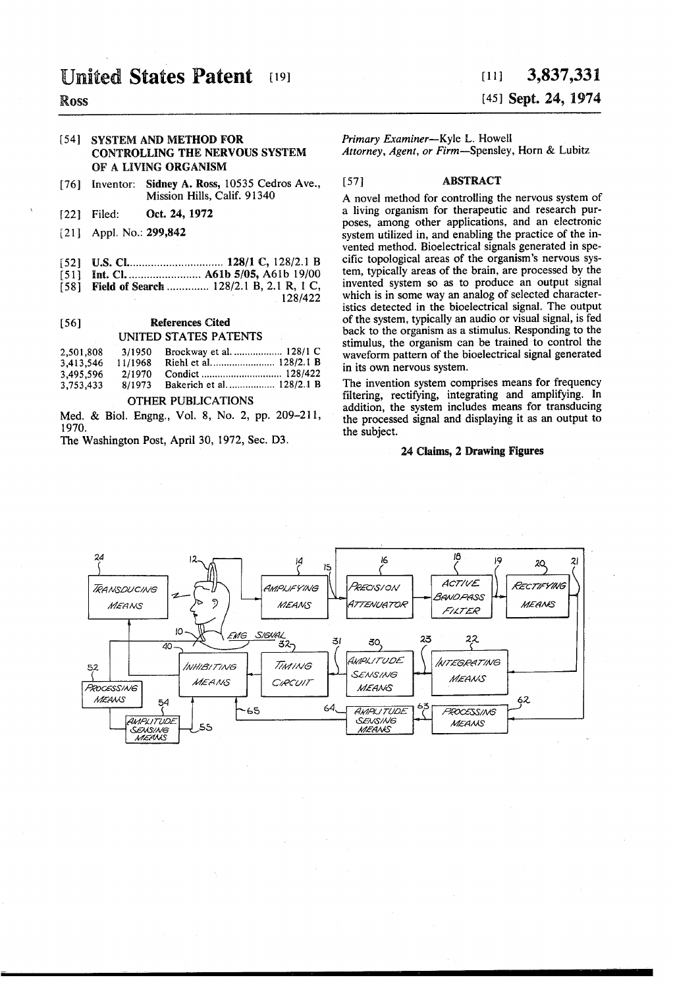#### **United States Patent**  $[19]$

### Ross

### [54] SYSTEM AND METHOD FOR **CONTROLLING THE NERVOUS SYSTEM** OF A LIVING ORGANISM

- [76] Inventor: Sidney A. Ross, 10535 Cedros Ave., Mission Hills, Calif. 91340
- [22] Filed: Oct. 24, 1972
- [21] Appl. No.: 299,842
- $[52]$
- $[51]$
- [58] Field of Search ............... 128/2.1 B, 2.1 R, 1 C, 128/422

#### [56] **References Cited UNITED STATES PATENTS**

| 2,501,808 | 3/1950  | Brockway et al.  128/1 C |  |
|-----------|---------|--------------------------|--|
| 3,413,546 | 11/1968 |                          |  |
| 3,495.596 | 2/1970  |                          |  |
| 3,753,433 | 8/1973  | Bakerich et al 128/2.1 B |  |
|           |         |                          |  |

## **OTHER PUBLICATIONS**

Med. & Biol. Engng., Vol. 8, No. 2, pp. 209-211, 1970.

The Washington Post, April 30, 1972, Sec. D3.

#### 3,837,331  $[11]$

## [45] Sept. 24, 1974

Primary Examiner-Kyle L. Howell Attorney, Agent, or Firm-Spensley, Horn & Lubitz

#### $[57]$ **ABSTRACT**

A novel method for controlling the nervous system of a living organism for therapeutic and research purposes, among other applications, and an electronic system utilized in, and enabling the practice of the invented method. Bioelectrical signals generated in specific topological areas of the organism's nervous system, typically areas of the brain, are processed by the invented system so as to produce an output signal which is in some way an analog of selected characteristics detected in the bioelectrical signal. The output of the system, typically an audio or visual signal, is fed back to the organism as a stimulus. Responding to the stimulus, the organism can be trained to control the waveform pattern of the bioelectrical signal generated in its own nervous system.

The invention system comprises means for frequency filtering, rectifying, integrating and amplifying. In addition, the system includes means for transducing the processed signal and displaying it as an output to the subject.

#### 24 Claims, 2 Drawing Figures

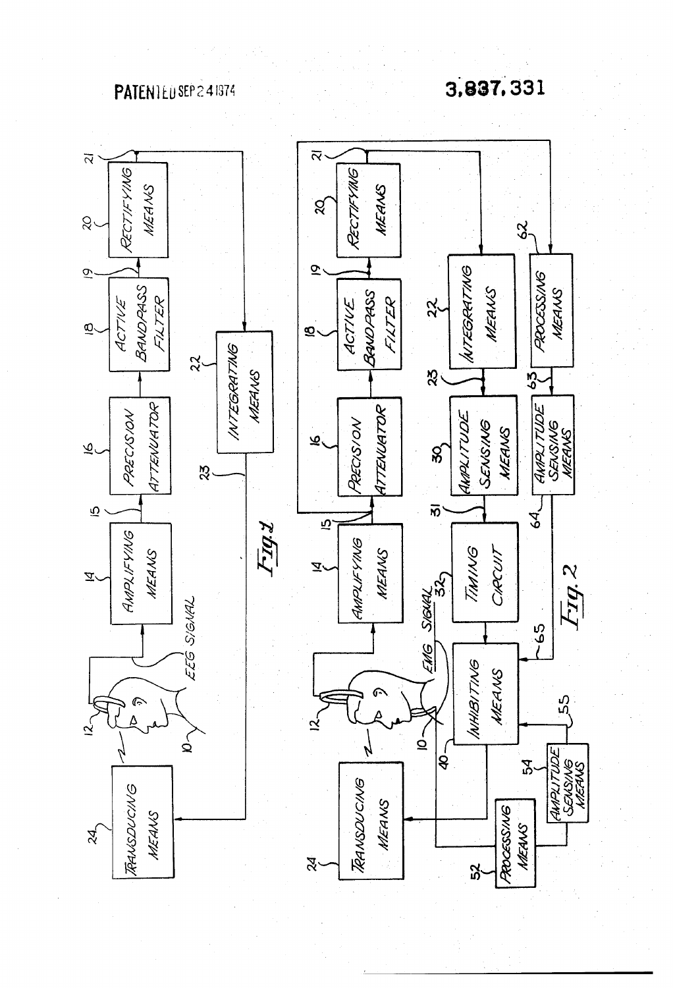# PATENTED SEP 241974

3,837.331

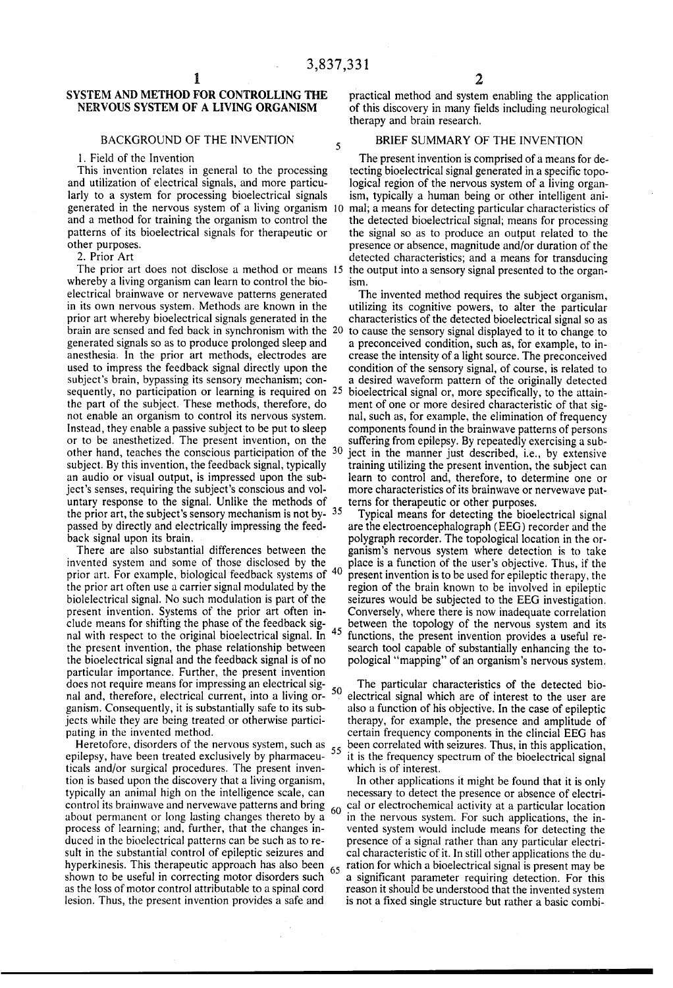$\overline{5}$ 

### SYSTEM AND METHOD FOR CONTROLLING THE NERVOUS SYSTEM OF A LIVING ORGANISM

#### BACKGROUND OF THE INVENTION

1. Field of the Invention<br>This invention relates in general to the processing and utilization of electrical signals, and more particularly to a system for processing bioelectrical signals generated in the nervous system of a living organism and a method for training the organism to control the patterns of its bioelectrical signals for therapeutic or other purposes. generated in the nervous system of a living organism 10

2. Prior Art

The prior art does not disclose a method or means 5 whereby a living organism can learn to control the bio-electrical brainwave or nervewave patterns generated in its own nervous system. Methods are known in the prior art whereby bioelectrical signals generated in the brain are sensed and fed back in synchronism with the 20 generated signals so as to produce prolonged sleep and anesthesia. In the prior art methods, electrodes are used to impress the feedback signal directly upon the subject's brain, bypassing its sensory mechanism; con sequently, no participation or learning is required on 25 the part of the subject. These methods, therefore, do not enable an organism to control its nervous system. Instead, they enable a passive subject to be put to sleep or to be anesthetized. The present invention, on the other hand, teaches the conscious participation of the  $30<sub>1</sub>$ subject. By this invention, the feedback signal, typically an audio or visual output, is impressed upon the sub ject's senses, requiring the subject's conscious and vol untary response to the signal. Unlike the methods of passed by directly and electrically impressing the feedback signal upon its brain, the prior art, the subject's sensory mechanism is not by- 35

There are also substantial differences between the invented system and some of those disclosed by the prior art. For example, biological feedback systems of the prior art often use a carrier signal modulated by the biolelectrical signal. No such modulation is part of the present invention. Systems of the prior art often in-<br>clude means for shifting the phase of the feedback sigclude means for shifting the phase of the feedback sig-<br>nal with respect to the original bioelectrical signal. In <sup>45</sup> the present invention, the phase relationship between particular importance. Further, the present invention does not require means for impressing an electrical signal and, therefore, electrical current, into a living organism. Consequently, it is substantially safe to its subjects while they are being treated or otherwise participating in the invented method.<br>Heretofore, disorders of the nervous system, such as 50

epilepsy, have been treated exclusively by pharmaceuticals and/or surgical procedures. The present invention is based upon the discovery that a living organism, typically an animal high on the intelligence scale, can control its brainwave and nervewave patterns and bring about permanent or long lasting changes thereto by a process of learning; and, further, that the changes in duced in the bioelectrical patterns can be such as to result in the substantial control of epileptic seizures and hyperkinesis. This therapeutic approach has also been shown to be useful in correcting motor disorders such as the loss of motor control attributable to a spinal cord lesion. Thus, the present invention provides a safe and 60 65

2

practical method and system enabling the application of this discovery in many fields including neurological therapy and brain research.

#### BRIEF SUMMARY OF THE INVENTION

The present invention is comprised of a means for detecting bioelectrical signal generated in a specific topological region of the nervous system of a living organism, typically a human being or other intelligent animal; a means for detecting particular characteristics of the detected bioelectrical signal; means for processing the signal so as to produce an output related to the presence or absence, magnitude and/or duration of the detected characteristics; and a means for transducing the output into a sensory signal presented to the organism

The invented method requires the subject organism, utilizing its cognitive powers, to alter the particular characteristics of the detected bioelectrical signal so as to cause the sensory signal displayed to it to change to a preconceived condition, such as, for example, to in condition of the sensory signal, of course, is related to a desired waveform pattern of the originally detected bioelectrical signal or, more specifically, to the attainment of one or more desired characteristic of that sigment of the desired characteristic or more desired components found in the brainwave patterns of persons suffering from epilepsy. By repeatedly exercising a subject in the manner just described, i.e., by extensive training utilizing the present invention, the subject can learn to control and, therefore, to determine one or

40 terns for therapeutic or other purposes.<br>Typical means for detecting the bioelectrical signal are the electroencephalograph (EEG) recorder and the polygraph recorder. The topological location in the or ganism's nervous system where detection is to take place is a function of the user's objective. Thus, if the present invention is to be used for epileptic therapy, the region of the brain known to be involved in epileptic seizures would be subjected to the EEG investigation.<br>Conversely, where there is now inadequate correlation. between the topology of the nervous system and its functions, the present invention provides a useful re search tool capable of substantially enhancing the to pological "mapping' of an organism's nervous system.

55 been correlated with seizures. Thus, in this application, The particular characteristics of the detected bio electrical signal which are of interest to the user are also a function of his objective. In the case of epileptic therapy, for example, the presence and amplitude of certain frequency components in the clincial EEG has it is the frequency spectrum of the bioelectrical signal which is of interest.

In other applications it might be found that it is only necessary to detect the presence or absence of electri cal or electrochemical activity at a particular location in the nervous system. For such applications, the in vented system would include means for detecting the presence of a signal rather than any particular electri cal characteristic of it. In still other applications the du ration for which a bioelectrical signal is present may be a significant parameter requiring detection. For this is not a fixed single structure but rather a basic combi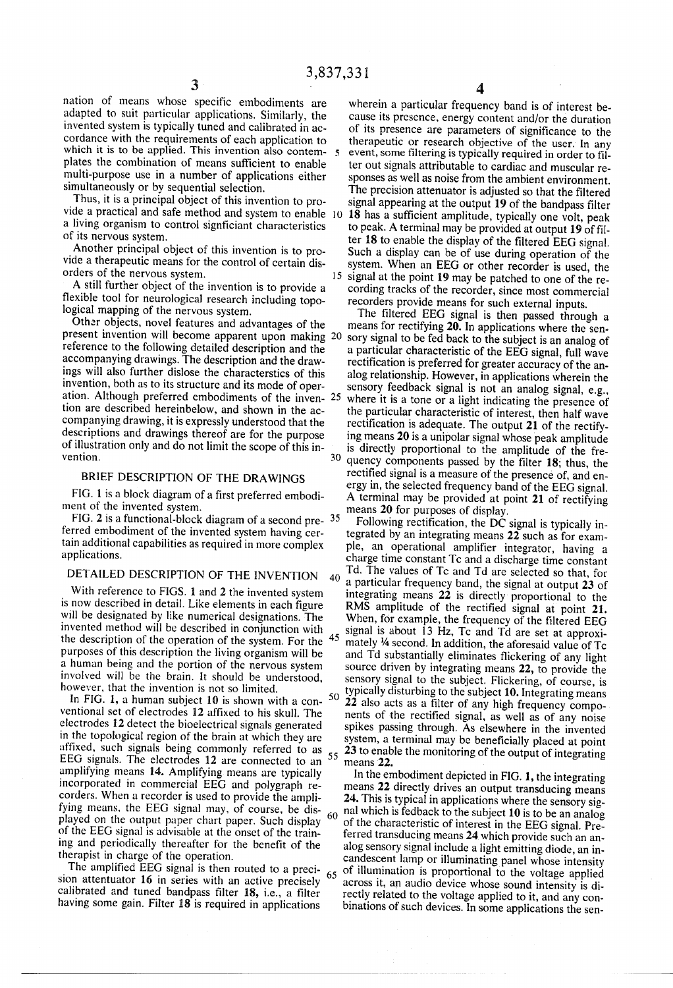15

nation of means whose specific embodiments are adapted to suit particular applications. Similarly, the invented system is typically tuned and calibrated in ac cordance with the requirements of each application to which it is to be applied. This invention also contem-  $\frac{1}{5}$ plates the combination of means sufficient to enable multi-purpose use in a number of applications either simultaneously or by sequential selection.<br>Thus, it is a principal object of this invention to pro-

a living organism to control significiant characteristics

of its nervous system.<br>Another principal object of this invention is to provide a therapeutic means for the control of certain disorders of the nervous system.

A still further object of the invention is to provide a flexible tool for neurological research including topological mapping of the nervous system.<br>Other objects, novel features and advantages of the

reference to the following detailed description and the accompanying drawings. The description and the drawings will also further dislose the characterstics of this invention, both as to its structure and its mode of operinvention, both as to its structure and its mode of oper ation. Although preferred embodiments of the inven 25 tion are described hereinbelow, and shown in the ac companying drawing, it is expressly understood that the of illustration only and do not limit the scope of this invention. present invention will become apparent upon making 20

#### BRIEF DESCRIPTION OF THE DRAWINGS

FIG. 1 is a block diagram of a first preferred embodi ment of the invented system.

ferred embodiment of the invented system having certain additional capabilities as required in more complex applications. FIG. 2 is a functional-block diagram of a second pre- 35

#### DETALED DESCRIPTION OF THE INVENTION

With reference to FIGS. 1 and 2 the invented system is now described in detail. Like elements in each figure will be designated by like numerical designations. The invented method will be described in conjunction with the description of the operation of the system. For the purposes of this description the living organism will be involved will be the brain. It should be understood, however, that the invention is not so limited.

In FIG. 1, a human subject 10 is shown with a con ventional set of electrodes 12 affixed to his skull. The electrodes 12 detect the bioelectrical signals generated in the topological region of the brain at which they are affixed, such signals being commonly referred to as EEG signals. The electrodes 12 are connected to an amplifying means 14. Amplifying means are typically incorporated in commercial EEG and polygraph recorders. When a recorder is used to provide the amplifying means, the EEG signal may, of course, be dis-<br>played on the output paper chart paper. Such display<br>of the EEG signal is advisable at the onset of the train-<br>ing and periodically thereafter for the benefit of the<br>ther 55

sion attentuator 16 in series with an active precisely calibrated and tuned bandpass filter 18, i.e., a filter having some gain. Filter 18 is required in applications

I hus, it is a principal object of this invention to pro-<br>vide a practical and safe method and system to enable 10 18 has a sufficient amplitude, typically one volt, peak wherein a particular frequency band is of interest be cause its presence, energy content and/or the duration of its presence are parameters of significance to the therapeutic or research objective of the user. In any event, some filtering is typically required in order to filter out signals attributable to cardiac and muscular re sponses as well as noise from the ambient environment. The precision attenuator is adjusted so that the filtered signal appearing at the output 19 of the bandpass filter to peak. A terminal may be provided at output 19 of filter 18 to enable the display of the filtered EEG signal. Such a display can be of use during operation of the system. When an EEG or other recorder is used, the signal at the point 19 may be patched to one of the recording tracks of the recorder, since most commercial recorders provide means for such external inputs.

30 The filtered EEG signal is then passed through a means for rectifying 20. In applications where the sen sory signal to be fed back to the subject is an analog of a particular characteristic of the EEG signal, full wave rectification is preferred for greater accuracy of the analog relationship. However, in applications wherein the sensory feedback signal is not an analog signal, e.g., where it is a tone or a light indicating the presence of the particular characteristic of interest, then half wave rectification is adequate. The output 21 of the rectifying means 20 is a unipolar signal whose peak amplitude is directly proportional to the amplitude of the frequency components passed by the filter 18; thus, the rectified signal is a measure of the presence of, and energy in, the selected frequency band of the EEG signal. A terminal may be provided at point 21 of rectifying means 20 for purposes of display.

40 45 signal is about 13 Hz, Tc and Td are set at approxi-50 Following rectification, the DC signal is typically integrated by an integrating means  $22$  such as for example, an operational amplifier integrator, having a charge time constant Tc and a discharge time constant Td. The values of Tc and Td are selected so that, for a particular frequency band, the signal at output 23 of integrating means 22 is directly proportional to the RMS amplitude of the rectified signal at point 21. When, for example, the frequency of the filtered EEG mately 14 second. In addition, the aforesaid value of Tc and Td substantially eliminates flickering of any light source driven by integrating means 22, to provide the sensory signal to the subject. Flickering, of course, is typically disturbing to the subject 10. Integrating means  $22$  also acts as a filter of any high frequency components of the rectified signal, as well as of any noise spikes passing through. As elsewhere in the invented system, a terminal may be beneficially placed at point 23 to enable the monitoring of the output of integrating means 22.

 $60$  nal which is fedback to the subject 10 is to be an analog  $65$  of infidential is proportional to the voltage applied<br>across it, an audio device whose sound intensity is di-In the embodiment depicted in FIG. 1, the integrating means 22 directly drives an output transducing means 24. This is typical in applications where the sensory sigof the characteristic of interest in the EEG signal. Pre-<br>ferred transducing means 24 which provide such an analog sensory signal include a light emitting diode, an in of illumination is proportional to the voltage applied rectly related to the voltage applied to it, and any conbinations of such devices. In some applications the sen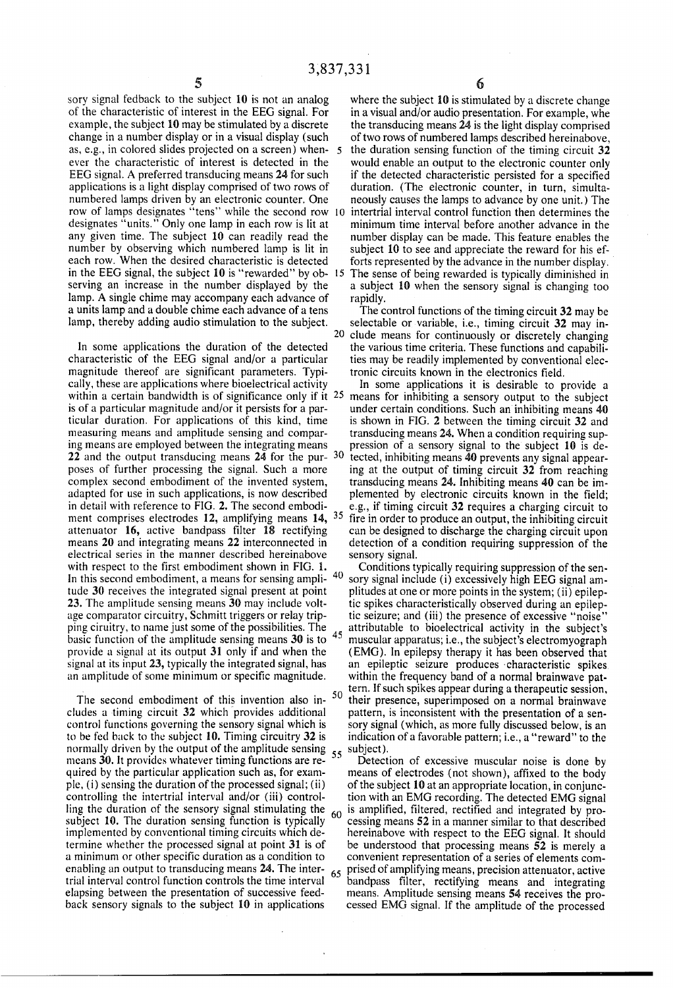sory signal fedback to the subject 10 is not an analog of the characteristic of interest in the EEG signal. For example, the subject 10 may be stimulated by a discrete change in a number display or in a visual display (such as, e.g., in colored slides projected on a screen) when- 5 ever the characteristic of interest is detected in the EEG signal. A preferred transducing means 24 for such applications is a light display comprised of two rows of numbered lamps driven by an electronic counter. One row of lamps designates "tens' while the second row 10 designates "units." Only one lamp in each row is lit at any given time. The subject 10 can readily read the number by observing which numbered lamp is lit in each row. When the desired characteristic is detected in the EEG signal, the subject 10 is "rewarded" by ob-15 serving an increase in the number displayed by the lamp. A single chime may accompany each advance of a units lamp and a double chime each advance of a tens lamp, thereby adding audio stimulation to the subject.

In some applications the duration of the detected characteristic of the EEG signal and/or a particular characteristic of the EEG signal and/or a particular magnitude thereof are significant parameters. Typically, these are applications where bioelectrical activity within a certain bandwidth is of significance only if it <sup>25</sup> is of a particular magnitude and/or it persists for a particular duration. For applications of this kind, time measuring means and amplitude sensing and comparing means are employed between the integrating means 22 and the output transducing means  $24$  for the pur-  $30$ poses of further processing the signal. Such a more complex second embodiment of the invented system, adapted for use in such applications, is now described in detail with reference to FIG. 2. The second embodi ment comprises electrodes 12, amplifying means 14, <sup>35</sup> attenuator 16, active bandpass filter 18 rectifying means 20 and integrating means 22 interconnected in electrical series in the manner described hereinabove with respect to the first embodiment shown in FIG. 1.<br>In this second embodiment, a means for sensing ampli-In the 30 receives the integrated signal present at point 23. The amplitude sensing means 30 may include voltage comparator circuitry, Schmitt triggers or relay tripping ciruitry, to name just some of the possibilities. The basic function of the amplitude sensing means  $30$  is to provide a signal at its output  $31$  only if and when the signal at its input 23, typically the integrated signal, has an amplitude of some minimum or specific magnitude. 40

The second embodiment of this invention also in cludes a timing circuit 32 which provides additional control functions governing the sensory signal which is to be fed back to the subject 10, Timing circuitry 32 is normally driven by the output of the amplitude sensing means 30. It provides whatever timing functions are required by the particular application such as, for example, (i) sensing the duration of the processed signal; (ii) controlling the intertrial interval and/or (iii) controlling the duration of the sensory signal stimulating the subject 10. The duration sensing function is typically implemented by conventional timing circuits which determine whether the processed signal at point 31 is of a minimum or other specific duration as a condition to enabling an output to transducing means 24. The intertrial interval control function controls the time interval back sensory signals to the subject 10 in applications

where the subject 10 is stimulated by a discrete change in a visual and/or audio presentation. For example, whe the transducing means 24 is the light display comprised<br>of two rows of numbered lamps described hereinabove, the duration sensing function of the timing circuit 32 would enable an output to the electronic counter only if the detected characteristic persisted for a specified duration. (The electronic counter, in turn, simultaneously causes the lamps to advance by one unit.) The intertrial interval control function then determines the minimum time interval before another advance in the number display can be made. This feature enables the subject 10 to see and appreciate the reward for his efforts represented by the advance in the number display. The sense of being rewarded is typically diminished in a subject 10 when the sensory signal is changing too rapidly.

20 clude means for continuously or discretely changing The control functions of the timing circuit 32 may be selectable or variable, i.e., timing circuit 32 may inthe various time criteria. These functions and capabilities may be readily implemented by conventional electronic circuits known in the electronics field.

In some applications it is desirable to provide a means for inhibiting a sensory output to the subject under certain conditions. Such an inhibiting means 40 is shown in FIG. 2 between the timing circuit 32 and transducing means 24. When a condition requiring suppression of a sensory signal to the subject  $10$  is detected, inhibiting means 40 prevents any signal appearing at the output of timing circuit  $32$  from reaching transducing means  $24$ . Inhibiting means  $40$  can be implemented by electronic circuits known in the field; e.g., if timing circuit 32 requires a charging circuit to fire in order to produce an output, the inhibiting circuit detection of a condition requiring suppression of the sensory signal.

attributable to bioelectrical activity in the subject's 50  $55$  subject). Conditions typically requiring suppression of the sensory signal include (i) excessively high EEG signal amplitudes at one or more points in the system; (ii) epileptic spikes characteristically observed during an epileptic seizure; and (iii) the presence of excessive "noise" muscular apparatus; i.e., the subject's electromyograph (EMG). In epilepsy therapy it has been observed that an epileptic seizure produces characteristic spikes. within the frequency band of a normal brainwave pattern. If such spikes appear during a therapeutic session, their presence, superimposed on a normal brainwave pattern, is inconsistent with the presentation of a sen sory signal (which, as more fully discussed below, is an indication of a favorable pattern; i.e., a "reward" to the

60 is amplified, filtered, rectified and integrated by processing means 52 in a manner similar to that described 65 Detection of excessive muscular noise is done by means of electrodes (not shown), affixed to the body of the subject 10 at an appropriate location, in conjunction with an EMG recording. The detected EMG signal hereinabove with respect to the EEG signal. It should be understood that processing means 52 is merely a convenient representation of a series of elements com prised of amplifying means, precision attenuator, active bandpass filter, rectifying means and integrating means. Amplitude sensing means 54 receives the processed EMG signal. If the amplitude of the processed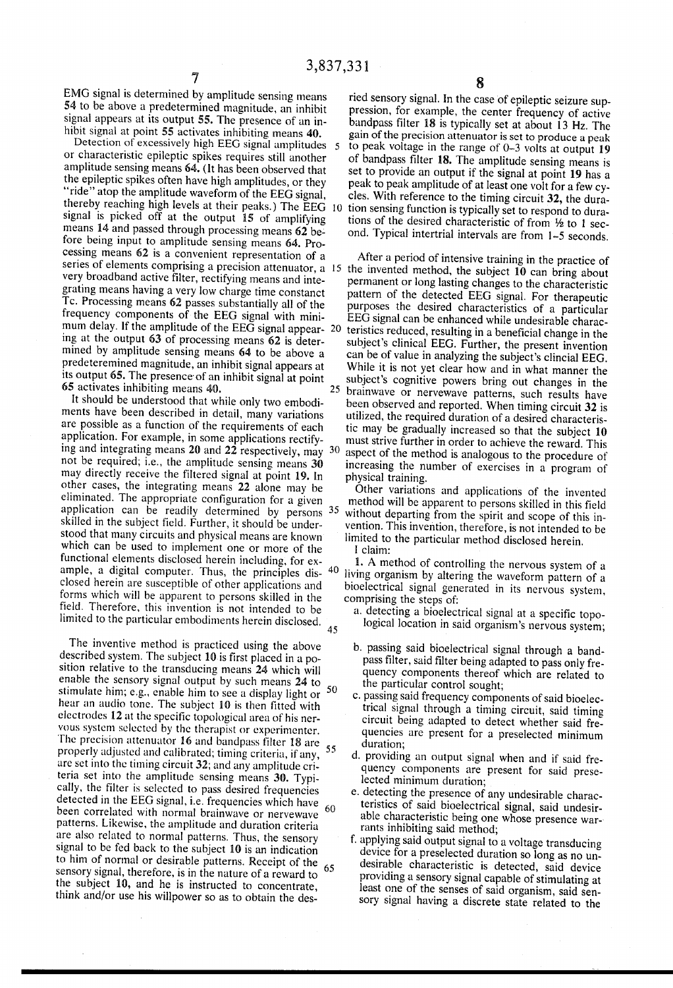EMG signal is determined by amplitude sensing means 54 to be above a predetermined magnitude, an inhibit signal appears at its output 55. The presence of an inhibit signal at point 55 activates inhibiting means 40.

Detection of excessively high EEG signal amplitudes 5 or characteristic epileptic spikes requires still another amplitude sensing means 64. (It has been observed that the epileptic spikes often have high amplitudes, or they "ride" atop the amplitude waveform of the EEG signal, thereby reaching high levels at their peaks.) The EEG 10 signal is picked off at the output 15 of amplifying means 14 and passed through processing means 62 before being input to amplitude sensing means 64. Processing means 62 is a convenient representation of a series of elements comprising a precision attenuator, a 15 the invented method, the subject  $10$  can bring about very broadband active filter, rectifying means and integrating means having a very low charge time constanct Tc. Processing means 62 passes substantially all of the frequency components of the EEG signal with minimum delay. If the amplitude of the EEG signal appear- 20 ing at the output 63 of processing means 62 is determined by amplitude sensing means 64 to be above a predeteremined magnitude, an inhibit signal appears at its output 65. The presence of an inhibit signal at point 65 activates inhibiting means 40.

It should be understood that while only two embodiments have been described in detail, many variations are possible as a function of the requirements of each application. For example, in some applications rectifying and integrating means 20 and 22 respectively, may 30 not be required; i.e., the amplitude sensing means 30 may directly receive the filtered signal at point 19. In other cases, the integrating means 22 alone may be eliminated. The appropriate configuration for a given application can be readily determined by persons 35 skilled in the subject field. Further, it should be understood that many circuits and physical means are known which can be used to implement one or more of the functional elements disclosed herein including, for example, a digital computer. Thus, the principles dis-40 closed herein are susceptible of other applications and forms which will be apparent to persons skilled in the field. Therefore, this invention is not intended to be lient. Therefore, this inventor is the metallicident.

The inventive method is practiced using the above described system. The subject 10 is first placed in a position relative to the transducing means 24 which will enable the sensory signal output by such means 24 to 50 stimulate him; e.g., enable him to see a display light or hear an audio tone. The subject 10 is then fitted with electrodes 12 at the specific topological area of his nervous system selected by the therapist or experimenter. The precision attenuator 16 and bandpass filter 18 are 55 properly adjusted and calibrated; timing criteria, if any, are set into the timing circuit 32; and any amplitude criteria set into the amplitude sensing means 30. Typically, the filter is selected to pass desired frequencies detected in the EEG signal, i.e. frequencies which have 60 been correlated with normal brainwave or nervewave patterns. Likewise, the amplitude and duration criteria are also related to normal patterns. Thus, the sensory signal to be fed back to the subject 10 is an indication to him of normal or desirable patterns. Receipt of the sensory signal, therefore, is in the nature of a reward to the subject 10, and he is instructed to concentrate, think and/or use his willpower so as to obtain the des-

ried sensory signal. In the case of epileptic seizure suppression, for example, the center frequency of active bandpass filter 18 is typically set at about 13 Hz. The gain of the precision attenuator is set to produce a peak to peak voltage in the range of  $0-3$  volts at output 19 of bandpass filter 18. The amplitude sensing means is set to provide an output if the signal at point 19 has a peak to peak amplitude of at least one volt for a few cycles. With reference to the timing circuit 32, the duration sensing function is typically set to respond to durations of the desired characteristic of from 1/2 to 1 second. Typical intertrial intervals are from 1-5 seconds.

After a period of intensive training in the practice of permanent or long lasting changes to the characteristic pattern of the detected EEG signal. For therapeutic purposes the desired characteristics of a particular EEG signal can be enhanced while undesirable characteristics reduced, resulting in a beneficial change in the subject's clinical EEG. Further, the present invention can be of value in analyzing the subject's clincial EEG. While it is not yet clear how and in what manner the subject's cognitive powers bring out changes in the brainwave or nervewave patterns, such results have been observed and reported. When timing circuit 32 is utilized, the required duration of a desired characteristic may be gradually increased so that the subject  $10$ must strive further in order to achieve the reward. This aspect of the method is analogous to the procedure of increasing the number of exercises in a program of physical training.

Other variations and applications of the invented method will be apparent to persons skilled in this field without departing from the spirit and scope of this invention. This invention, therefore, is not intended to be limited to the particular method disclosed herein. I claim:

1. A method of controlling the nervous system of a living organism by altering the waveform pattern of a bioelectrical signal generated in its nervous system, comprising the steps of:

a. detecting a bioelectrical signal at a specific topological location in said organism's nervous system,

- b. passing said bioelectrical signal through a bandpass filter, said filter being adapted to pass only frequency components thereof which are related to the particular control sought;
- c. passing said frequency components of said bioelectrical signal through a timing circuit, said timing circuit being adapted to detect whether said frequencies are present for a preselected minimum duration:
- d. providing an output signal when and if said frequency components are present for said preselected minimum duration:
- e. detecting the presence of any undesirable characteristics of said bioelectrical signal, said undesirable characteristic being one whose presence warrants inhibiting said method;
- f. applying said output signal to a voltage transducing device for a preselected duration so long as no undesirable characteristic is detected, said device providing a sensory signal capable of stimulating at least one of the senses of said organism, said sensory signal having a discrete state related to the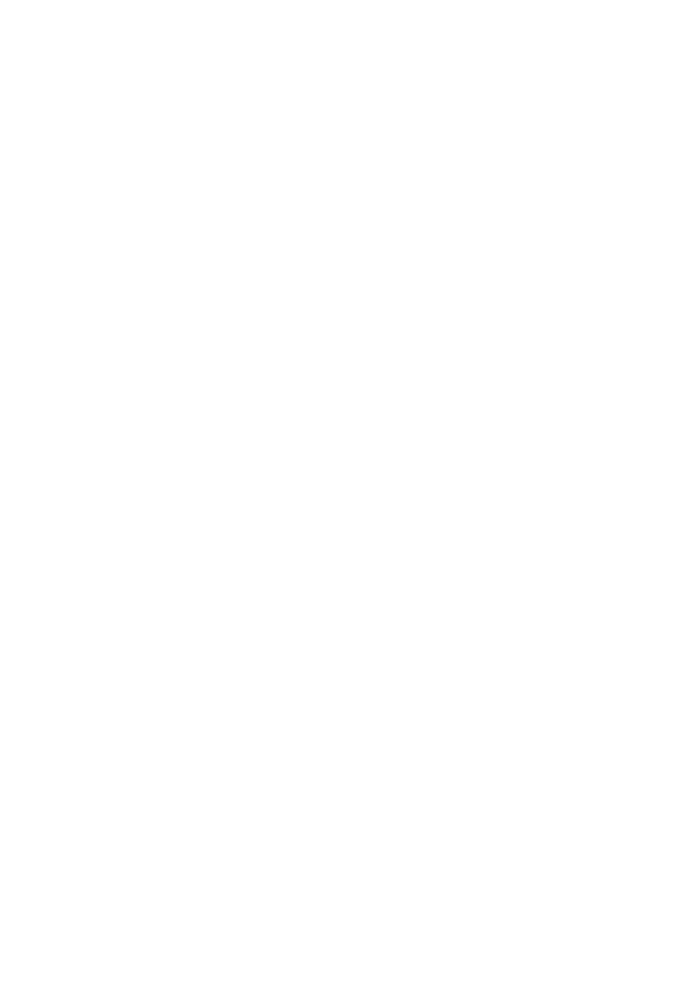5

waveform pattern of said bioelectrical signal; and

g. causing said organism to concentrate mentally so as to affect the intensity or state of said sensory signal in a preselected way;

whereby said organism is trained to alter the waveform pattern of said bioelectrical signal in a desired manner and thereby to control its nervous system.

2. The method of claim 1 wherein said undesirable signals include excessively high amplitude EMG signals 10 attributable to bioelectrical activity in said organism's muscular apparatus.

3. The method of claim 1 including the additional steps of (i) detecting the presence of any undesirable signal which may appear together with said bioelectri-15 cal signal, said undesirable signal being one whose presence warrants inhibiting said method, and (ii) inhibiting the presentation of said sensory signal to said organism when said undesirable signal is detected.

4. The method of claim 1 wherein said undesirable  $20$ characteristics include the high amplitude spikes which may appear during epileptic seizures.

5. The method of claim 1 wherein said undesirable characteristics include amplitudes of said bioelectrical  $_{25}$ signal which are greater than a preselected magnitude.

6. The method of claim 1 wherein said bioelectrical signal is altered so as to increase the amplitude of said frequency components passed by said filter. 30

7. The method of claim 6 including the additional step of passing said frequency components through amplitude sensing means and providing an output signal when and if the amplitude of said frequency components is above a preselected magnitude. 35

8. The method of claim 1 wherein a preselected minimum interval elapses between successive presentations of said sensory signal or changes in the state thereof.

9. The method of claim 1 wherein said sensory signal is an audio signal whose state is directly related to the 40 degree to which the alteration of said waveform pattern is achieved, said organism concentrating mentally so as to change said state in a preselected manner.

10. The method of claim 1 wherein said sensory signal is a visual display whose state is directly related to 45 the degree to which the alteration of said waveform is achieved, said organism concentrating mentally so as to change said state in a preselected manner.

11. The method of claim 1 wherein said sensory sig-50 nal is a combination of visual and audio signals.

12. The method of claim 1 including the additional steps of rectifying and integrating said bioelectrical signal after it has passed through said bandpass filter.

13. A method of controlling the nervous system of a 55 living organism by altering the waveform pattern of a bioelectrical signal generated at a sepcific topological location in its nervous system, said waveform pattern being altered so as to increase the energy content in a preselected frequency band thereof, comprising the 60 steps of:

- a. detecting said bioelectrical signal at said topological location:
- b. passing said bioelectrical signal through a narrow bandpass filter adapted to pass only frequencies 65 within said frequency band;
- c. rectifying said bioelectrical signal;
- d. integrating said bioelectrical signal;
- e. passing said bioelectrical signal through means for sensing voltage amplitude, said means being adapted to detect whether the amplitude thereof is above a preselected magnitude and to provide a first signal as long as said amplitude remains thereabove:
- f. passing said first signal through a timing circuit adapted to detect whether frequencies within said frequency band are present for at least a preselected duration;
- g. providing a second signal when and if said bioelectrical signal contains frequencies in said frequency band with an amplitude above said preselected magnitude for at least said preselected duration;
- h. detecting the presence of high amplitudes of or spikes on said bioelectrical signal;
- i. applying said second signal to a voltage transducing device for a preselected period so long as no high amplitudes or spikes are detected, said device being adapted to provide a visual display whose state is directly related to the degree of success in increasing the energy content in said frequency band of said bioelectrical signal; and
- j. causing a preselected minimum interval to elapse between successive presentations of said sensory signal or changes in the state thereof;
- k. causing said organism to concentrate mentally so as to change the state of said visual display in successive steps, said successive steps occurring at preselected intervals;

whereby said organism is trained to increase the energy content in said frequency band of said bioelectrical signal and thereby to control its nervous system.

14. A system for controlling the nervous system of a living organism by altering the waveform pattern of a bioelectrical signal generated in its nervous system comprising:

- a. means electrically responsive to said bioelectrical signal;
- b. means for amplifying said bioelectrical signal, said amplifying means being electrically coupled to said responsive means;
- c. a bandpass filter having an input which is electrically coupled to the output of said amplifying means, said filter being arranged and constructed to pass only frequency components which are related to the particular control sought;
- d. means for sensing the duration of said frequency components passed by said filter, said duration sensing means being electrically coupled to the output of said filter and being arranged and constructed to provide an output signal when and if said frequencies are present for a preselected minimum duration;

e. means for detecting the presence of any undesirable characteristic of said bioelectrical signal, the input of said detecting means being electrically coupled to the output of said amplifying means;

f. means for transducing said output signal into a sensory signal having a preselected duration, said sensory signal being capable of stimulating at least one of the senses of said organism, said transducing means being electrically coupled to the output of said duration sensing means, said sensory signal having discrete states related to the waveform pattern of said bioelectrical signal; and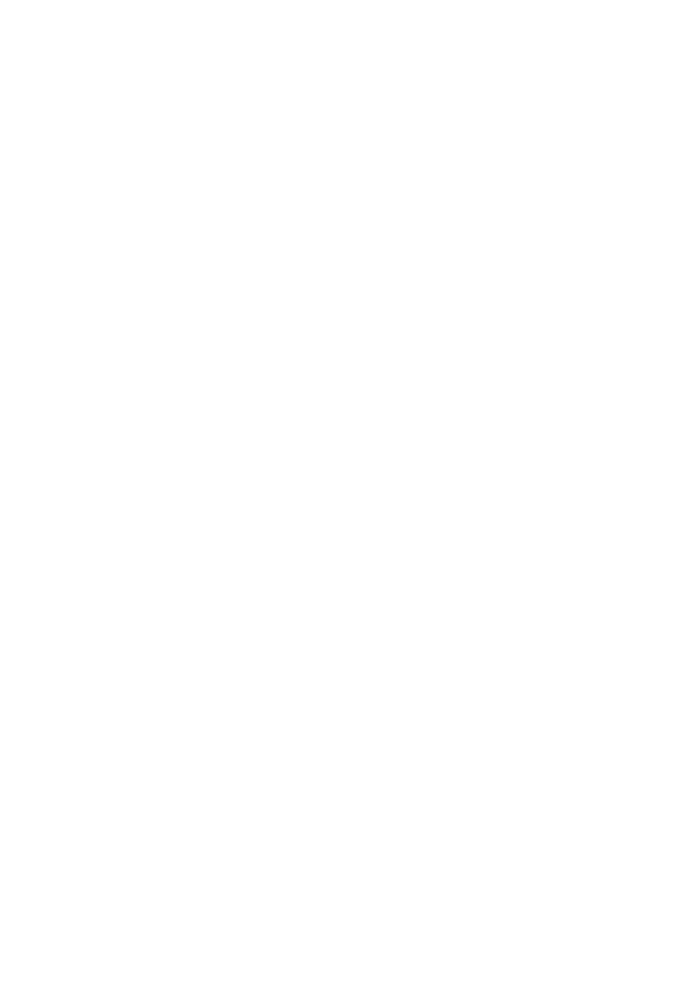10

g. means for inhibiting the appearance of said output signal whenever any undesirable characteristic is detected, the input of said inhibiting means being electrically coupled to said detecting means and the output thereof being electrically coupled to 5 said duration sensing means;

whereby said organism is trained to alter said waveform pattern of said bioelectrical signal in a desired manner by concentrating mentally so as to affect the state of said sensory signal in a preselected way.

15. The system of claim 14 wherein said means electrically responsive to said bioelectrical signal are electrodes adapted to be coupled to said organism.

16. The system of claim 14 wherein said filter is electrically coupled to said amplifying means through a 15 precision attenuator adjusted to provide a desired voltage amplitude.

17. The system of claim 14 wherein said duration sensing means is electrically coupled to the output of said filter through serial means for rectifying and inte- 20 grating said bioelectrical signal.

18. The system of claim 17 having in addition thereto a light emitting device electrically coupled to the output of said integrating means, the illumination of said device being proportional to the voltage applied across 25 it.

19. The system of claim 14 having in addition thereto means for sensing voltage amplitude, said amplitude sensing means being electrically coupled between said filter and said duration sensing means, said amplitude 30 sensing means being arranged and constructed to provide an output to said duration sensing means when and if the amplitude of said frequency components is above a preselected magnitude.

20. The system of claim 14 wherein said undesirable 35 characteristics of said bioelectrical signal include excessively high amplitudes or spikes, and said detecting means comprises (i) an attenuator; (ii) a very broadband filter; (iii) means for rectifying; (iv) means for integrating and ( $v$ ) means for sensing voltage amplitude,  $40$ said components being electrically coupled in series.

21. The system of claim 14 having in addition thereto second means for detecting the presence of any undesirable signals which may appear together with said bioelectrical signal, the input of said second detecting 45 means being adapted to be electrically coupled to said organism and the output thereof being electrically coupled to said inhibiting means.

22. The system of claim 21 wherein said undesirable signals include excessively high amplitude EMG signals 50 attributable to bioelectrical activity in said organism's muscular apparatus, said second detecting means comprising (i) at least one electrode; (ii) an amplifier; (iii) an attenuator; (iv) means for rectifying; (v) means for integrating; and (vi) means for sensing voltage ampli- 55 tude, said components being electrically coupled in series.

23. The system of claim 14 having in addition thereto a timing circuit adapted to control the minimum interval between successive presentations of said sensory 60 of content in said frequency band of said bioelectrical signal to said organism.

24. A system for controlling the nervous system of a living organism by altering the waveform pattern of a

bioelectrical signal generated in its nervous system so as to increase the energy content in a preselected frequency band thereof comprising:

a. electrodes adapted to be coupled to specific topological locations in said organism's nervous system;

- b. means for amplifying and attenuating said bioelectrical signal, said amplifying and attenuating means being electrically coupled to said electrodes and adjusted to achieve a desired voltage amplitude;
- c. a bandpass filter having an input which is electrically coupled to the output of said amplifying and attenuating means, said filter being arranged and constructed to pass only frequencies within said frequency band;
- d. means for rectifying and integrating said bioelectrical signal electrically coupled to the output of said filter, the output of said rectifying and integrating means being unipolar and having a peak amplitude directly proportional to the amplitude of the frequency components passed by said filter;
- e. means for sensing voltage amplitude electrically coupled to said rectifying and integrating means, said amplitude sensing means being arranged and constructed to provide an output when and if the amplitude of said frequency components thereof is above a preselected magnitude;
- f. means for sensing the duration of said frequency components passed by said filter, said duration sensing means being electrically coupled to the output of said amplitude sensing means and being arranged and constructed to provide an output signal when and if said frequencies are present for a preselected minimum duration;
- g. means for detecting the presence of excessively high amplitudes or spikes in said bioelectrical signal, said detecting means being electrically coupled to the output of said amplifying means,
- h. means for transducing said output signal into a visual display whose state is directly related to the degree of success in increasing the energy content in said frequency band of said bioelectrical signal, said transducing means being electrically coupled to the output of said duration sensing means;
- i. a timing circuit electrically coupled between said duration sensing means and said transducing means, said timing circuit being arranged and constructed to control the duration of said visual display and the minimum interval between successive presentations or changes in the state thereof; and
- j. means for inhibiting the appearance of said output signal whenever excessively high amplitudes or spikes are detected in said bioelectrical signal, the input of said inhibiting means being electrically coupled to said detecting means and the output thereof being electrically coupled to said duration sensing means:

whereby said organism is trained to increase the energy signal by concentrating mentally so as to change the state of said visual display in a preselected way.  $\star$  $\ast$ 

65